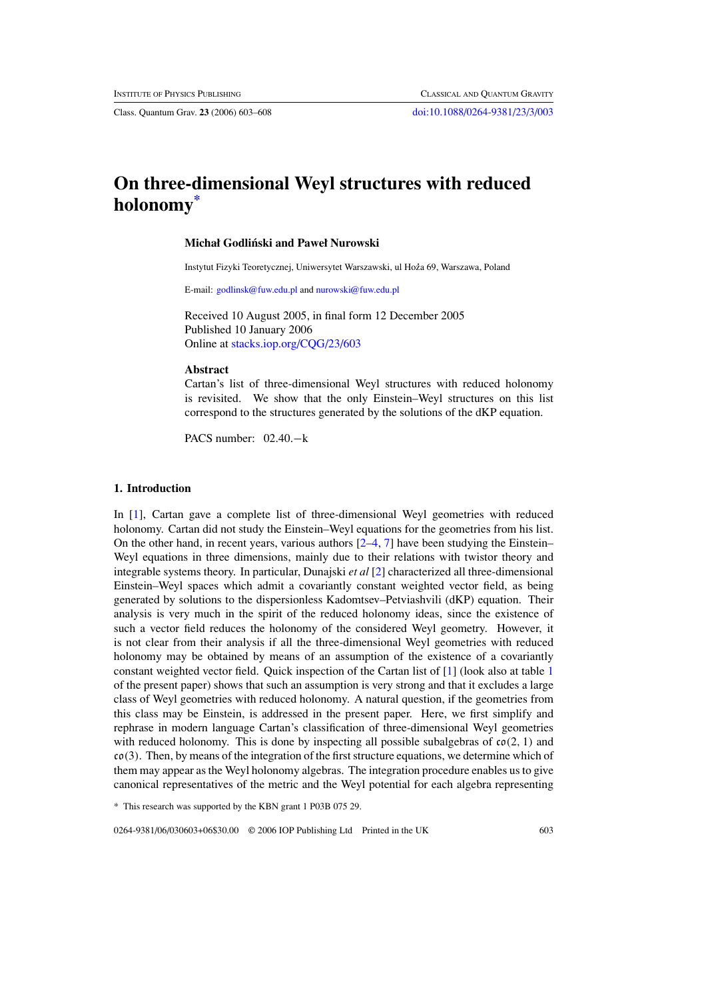Class. Quantum Grav. **23** (2006) 603–608 [doi:10.1088/0264-9381/23/3/003](http://dx.doi.org/10.1088/0264-9381/23/3/003)

# **On three-dimensional Weyl structures with reduced holonomy\***

# **Michał Godlinski and Paweł Nurowski ´**

Instytut Fizyki Teoretycznej, Uniwersytet Warszawski, ul Hoza 69, Warszawa, Poland **˙**

E-mail: [godlinsk@fuw.edu.pl](mailto:godlinsk@fuw.edu.pl) and [nurowski@fuw.edu.pl](mailto:nurowski@fuw.edu.pl)

Received 10 August 2005, in final form 12 December 2005 Published 10 January 2006 Online at [stacks.iop.org/CQG/23/603](http://stacks.iop.org/CQG/23/603)

#### **Abstract**

Cartan's list of three-dimensional Weyl structures with reduced holonomy is revisited. We show that the only Einstein–Weyl structures on this list correspond to the structures generated by the solutions of the dKP equation.

PACS number: 02.40.−k

# **1. Introduction**

In [\[1](#page-5-0)], Cartan gave a complete list of three-dimensional Weyl geometries with reduced holonomy. Cartan did not study the Einstein–Weyl equations for the geometries from his list. On the other hand, in recent years, various authors  $[2-4, 7]$  $[2-4, 7]$  have been studying the Einstein– Weyl equations in three dimensions, mainly due to their relations with twistor theory and integrable systems theory. In particular, Dunajski *et al* [\[2\]](#page-5-0) characterized all three-dimensional Einstein–Weyl spaces which admit a covariantly constant weighted vector field, as being generated by solutions to the dispersionless Kadomtsev–Petviashvili (dKP) equation. Their analysis is very much in the spirit of the reduced holonomy ideas, since the existence of such a vector field reduces the holonomy of the considered Weyl geometry. However, it is not clear from their analysis if all the three-dimensional Weyl geometries with reduced holonomy may be obtained by means of an assumption of the existence of a covariantly constant weighted vector field. Quick inspection of the Cartan list of [\[1\]](#page-5-0) (look also at table [1](#page-4-0) of the present paper) shows that such an assumption is very strong and that it excludes a large class of Weyl geometries with reduced holonomy. A natural question, if the geometries from this class may be Einstein, is addressed in the present paper. Here, we first simplify and rephrase in modern language Cartan's classification of three-dimensional Weyl geometries with reduced holonomy. This is done by inspecting all possible subalgebras of co*(*2*,* 1*)* and co*(*3*)*. Then, by means of the integration of the first structure equations, we determine which of them may appear as the Weyl holonomy algebras. The integration procedure enables us to give canonical representatives of the metric and the Weyl potential for each algebra representing

\* This research was supported by the KBN grant 1 P03B 075 29.

0264-9381/06/030603+06\$30.00 © 2006 IOP Publishing Ltd Printed in the UK 603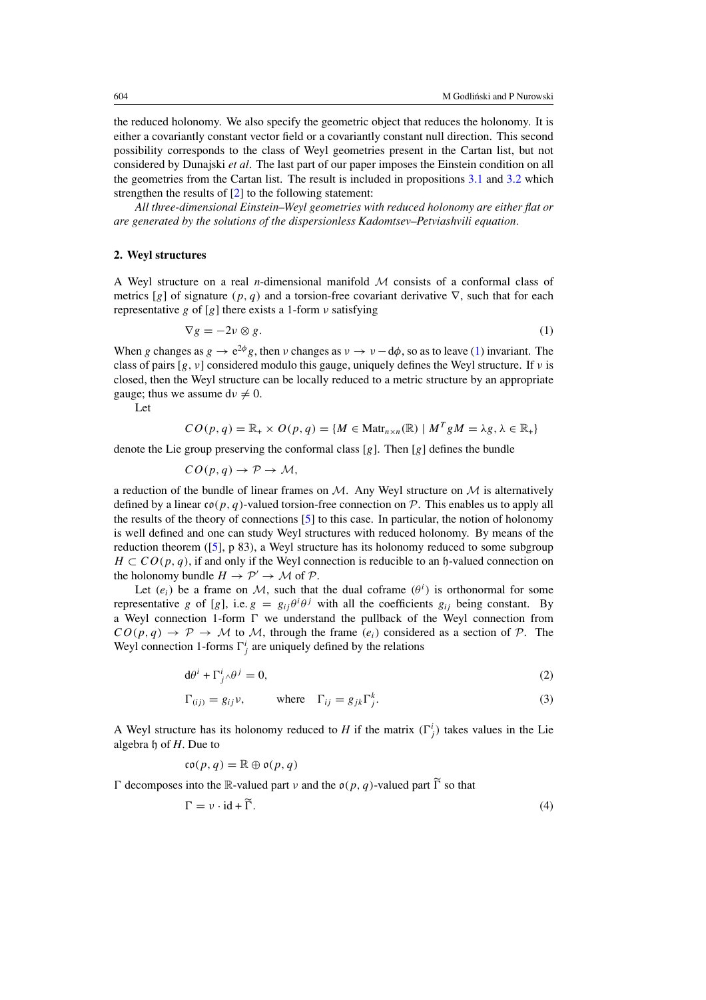<span id="page-1-0"></span>the reduced holonomy. We also specify the geometric object that reduces the holonomy. It is either a covariantly constant vector field or a covariantly constant null direction. This second possibility corresponds to the class of Weyl geometries present in the Cartan list, but not considered by Dunajski *et al*. The last part of our paper imposes the Einstein condition on all the geometries from the Cartan list. The result is included in propositions [3.1](#page-4-0) and [3.2](#page-4-0) which strengthen the results of [\[2](#page-5-0)] to the following statement:

*All three-dimensional Einstein–Weyl geometries with reduced holonomy are either flat or are generated by the solutions of the dispersionless Kadomtsev–Petviashvili equation.*

# **2. Weyl structures**

A Weyl structure on a real *n*-dimensional manifold M consists of a conformal class of metrics [*g*] of signature  $(p, q)$  and a torsion-free covariant derivative  $\nabla$ , such that for each representative *g* of [*g*] there exists a 1-form *ν* satisfying

$$
\nabla g = -2\nu \otimes g. \tag{1}
$$

When *g* changes as  $g \to e^{2\phi}g$ , then *v* changes as  $v \to v - d\phi$ , so as to leave (1) invariant. The class of pairs [*g, ν*] considered modulo this gauge, uniquely defines the Weyl structure. If *ν* is closed, then the Weyl structure can be locally reduced to a metric structure by an appropriate gauge; thus we assume  $dv \neq 0$ .

Let

$$
CO(p,q) = \mathbb{R}_+ \times O(p,q) = \{ M \in \text{Matr}_{n \times n}(\mathbb{R}) \mid M^T g M = \lambda g, \lambda \in \mathbb{R}_+ \}
$$

denote the Lie group preserving the conformal class [*g*]. Then [*g*] defines the bundle

$$
CO(p,q) \to \mathcal{P} \to \mathcal{M},
$$

a reduction of the bundle of linear frames on  $M$ . Any Weyl structure on  $M$  is alternatively defined by a linear  $co(p, q)$ -valued torsion-free connection on  $P$ . This enables us to apply all the results of the theory of connections [\[5](#page-5-0)] to this case. In particular, the notion of holonomy is well defined and one can study Weyl structures with reduced holonomy. By means of the reduction theorem  $(5]$ , p 83), a Weyl structure has its holonomy reduced to some subgroup  $H \subset CO(p, q)$ , if and only if the Weyl connection is reducible to an h-valued connection on the holonomy bundle  $H \to \mathcal{P}' \to \mathcal{M}$  of  $\mathcal{P}$ .

Let  $(e_i)$  be a frame on M, such that the dual coframe  $(\theta^i)$  is orthonormal for some representative *g* of [*g*], i.e.  $g = g_{ij}\theta^i\theta^j$  with all the coefficients  $g_{ij}$  being constant. By a Weyl connection 1-form  $\Gamma$  we understand the pullback of the Weyl connection from  $CO(p, q) \rightarrow \mathcal{P} \rightarrow \mathcal{M}$  to  $\mathcal{M}$ , through the frame  $(e_i)$  considered as a section of  $\mathcal{P}$ . The Weyl connection 1-forms  $\Gamma^i_j$  are uniquely defined by the relations

$$
d\theta^i + \Gamma^i_{j} \wedge \theta^j = 0,\tag{2}
$$

$$
\Gamma_{(ij)} = g_{ij} \nu, \qquad \text{where} \quad \Gamma_{ij} = g_{jk} \Gamma^k_j. \tag{3}
$$

A Weyl structure has its holonomy reduced to *H* if the matrix  $(\Gamma_j^i)$  takes values in the Lie algebra h of *H*. Due to

$$
\mathfrak{co}(p,q) = \mathbb{R} \oplus \mathfrak{o}(p,q)
$$

 $\Gamma$  decomposes into the R-valued part *ν* and the  $o(p, q)$ -valued part  $\widetilde{\Gamma}$  so that

$$
\Gamma = \nu \cdot \mathrm{id} + \widetilde{\Gamma}.\tag{4}
$$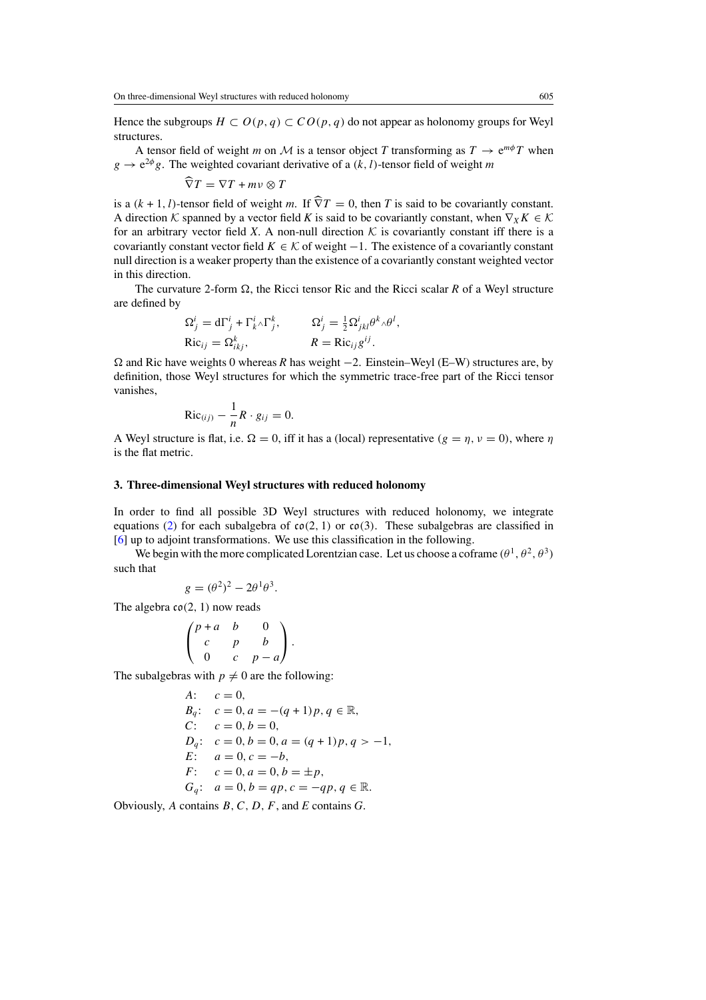Hence the subgroups  $H \subset O(p, q) \subset CO(p, q)$  do not appear as holonomy groups for Weyl structures.

A tensor field of weight *m* on M is a tensor object *T* transforming as  $T \rightarrow e^{m\phi}T$  when  $g \to e^{2\phi}g$ . The weighted covariant derivative of a *(k, l)*-tensor field of weight *m* 

$$
\widehat{\nabla}T = \nabla T + m\nu \otimes T
$$

is a  $(k + 1, l)$ -tensor field of weight *m*. If  $\hat{\nabla}T = 0$ , then *T* is said to be covariantly constant. A direction K spanned by a vector field K is said to be covariantly constant, when  $\nabla_X K \in \mathcal{K}$ for an arbitrary vector field *X*. A non-null direction  $K$  is covariantly constant iff there is a covariantly constant vector field  $K \in \mathcal{K}$  of weight  $-1$ . The existence of a covariantly constant null direction is a weaker property than the existence of a covariantly constant weighted vector in this direction.

The curvature 2-form  $\Omega$ , the Ricci tensor Ric and the Ricci scalar R of a Weyl structure are defined by

*,*

$$
\Omega_j^i = d\Gamma_j^i + \Gamma_k^i \wedge \Gamma_j^k, \qquad \Omega_j^i = \frac{1}{2} \Omega_{jkl}^i \theta^k \wedge \theta^l
$$
  
Ric<sub>ij</sub> =  $\Omega_{ikj}^k$ ,  $R = \text{Ric}_{ij} g^{ij}$ .

 and Ric have weights 0 whereas *R* has weight −2. Einstein–Weyl (E–W) structures are, by definition, those Weyl structures for which the symmetric trace-free part of the Ricci tensor vanishes,

$$
\text{Ric}_{(ij)} - \frac{1}{n}R \cdot g_{ij} = 0.
$$

A Weyl structure is flat, i.e.  $\Omega = 0$ , iff it has a (local) representative  $(g = \eta, \nu = 0)$ , where  $\eta$ is the flat metric.

#### **3. Three-dimensional Weyl structures with reduced holonomy**

In order to find all possible 3D Weyl structures with reduced holonomy, we integrate equations [\(2\)](#page-1-0) for each subalgebra of  $co(2, 1)$  or  $co(3)$ . These subalgebras are classified in [\[6](#page-5-0)] up to adjoint transformations. We use this classification in the following.

We begin with the more complicated Lorentzian case. Let us choose a coframe  $(\theta^1, \theta^2, \theta^3)$ such that

$$
g = (\theta^2)^2 - 2\theta^1 \theta^3.
$$

The algebra co*(*2*,* 1*)* now reads

$$
\begin{pmatrix} p+a & b & 0 \\ c & p & b \\ 0 & c & p-a \end{pmatrix}.
$$

The subalgebras with  $p \neq 0$  are the following:

A: 
$$
c = 0
$$
,  
\n $B_q$ :  $c = 0$ ,  $a = -(q + 1)p$ ,  $q \in \mathbb{R}$ ,  
\nC:  $c = 0$ ,  $b = 0$ ,  
\n $D_q$ :  $c = 0$ ,  $b = 0$ ,  $a = (q + 1)p$ ,  $q > -1$ ,  
\nE:  $a = 0$ ,  $c = -b$ ,  
\nF:  $c = 0$ ,  $a = 0$ ,  $b = \pm p$ ,  
\n $G_q$ :  $a = 0$ ,  $b = qp$ ,  $c = -qp$ ,  $q \in \mathbb{R}$ .

Obviously, *A* contains *B,C,D, F*, and *E* contains *G*.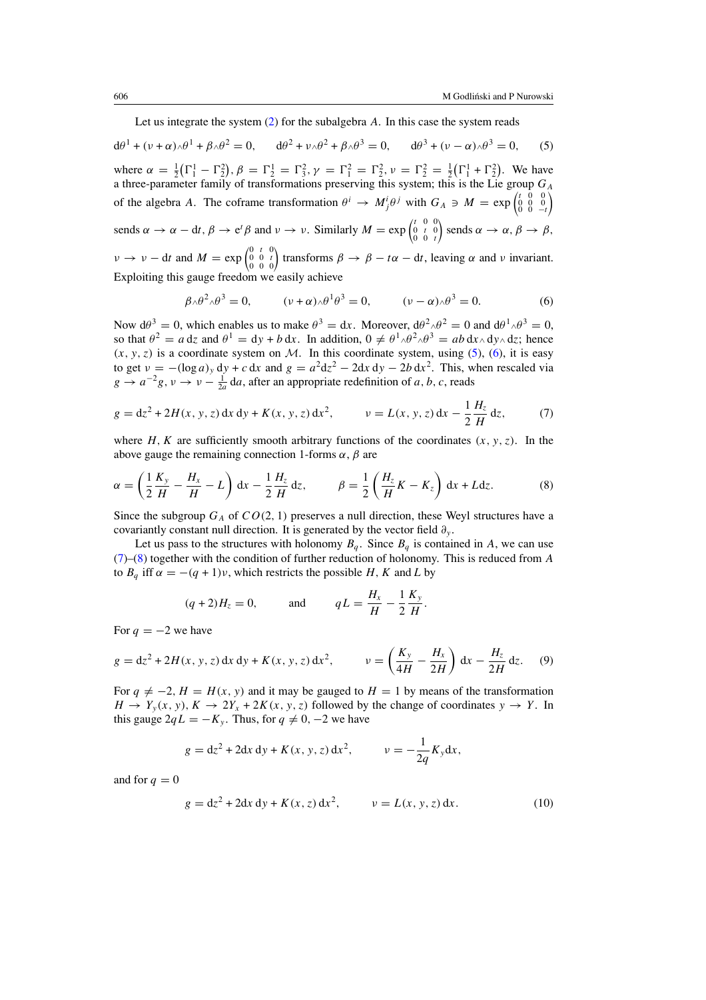Let us integrate the system [\(2\)](#page-1-0) for the subalgebra *A*. In this case the system reads

<span id="page-3-0"></span> $d\theta^1 + (\nu + \alpha)\theta^1 + \beta\theta^2 = 0$ ,  $d\theta^2 + \nu\theta^2 + \beta\theta^3 = 0$ ,  $d\theta^3 + (\nu - \alpha)\theta^3 = 0$ , (5) where  $\alpha = \frac{1}{2}(\Gamma_1^1 - \Gamma_2^2), \beta = \Gamma_2^1 = \Gamma_3^2, \gamma = \Gamma_1^2 = \Gamma_2^2, \nu = \Gamma_2^2 = \frac{1}{2}(\Gamma_1^1 + \Gamma_2^2)$ . We have a three-parameter family of transformations preserving this system; this is the Lie group  $G_A$ of the algebra *A*. The coframe transformation  $\theta^i \to M^i_j \theta^j$  with  $G_A \ni M = \exp\begin{pmatrix} t & 0 & 0 \\ 0 & 0 & -t \end{pmatrix}$ Ι sends  $\alpha \to \alpha - dt$ ,  $\beta \to e^t \beta$  and  $\nu \to \nu$ . Similarly  $M = \exp \begin{pmatrix} t & 0 & 0 \\ 0 & t & 0 \\ 0 & 0 & t \end{pmatrix}$  $\sin \alpha \to \alpha, \beta \to \beta,$  $\nu \rightarrow \nu - dt$  and  $M = \exp \begin{pmatrix} 0 & t & 0 \\ 0 & 0 & t \\ 0 & 0 & 0 \end{pmatrix}$  transforms  $\beta \rightarrow \beta - t\alpha - dt$ , leaving  $\alpha$  and  $\nu$  invariant. Exploiting this gauge freedom we easily achieve

$$
\beta \wedge \theta^2 \wedge \theta^3 = 0, \qquad (\nu + \alpha) \wedge \theta^1 \theta^3 = 0, \qquad (\nu - \alpha) \wedge \theta^3 = 0. \tag{6}
$$

Now  $d\theta^3 = 0$ , which enables us to make  $\theta^3 = dx$ . Moreover,  $d\theta^2 \wedge \theta^2 = 0$  and  $d\theta^1 \wedge \theta^3 = 0$ , so that  $\theta^2 = a dz$  and  $\theta^1 = dy + b dx$ . In addition,  $0 \neq \theta^1 \wedge \theta^2 \wedge \theta^3 = ab dx \wedge dy \wedge dz$ ; hence  $(x, y, z)$  is a coordinate system on M. In this coordinate system, using  $(5)$ ,  $(6)$ , it is easy to get  $v = -(\log a)_y dy + c dx$  and  $g = a^2 dz^2 - 2 dx dy - 2b dx^2$ . This, when rescaled via  $g \to a^{-2}g$ ,  $v \to v - \frac{1}{2a} da$ , after an appropriate redefinition of *a*, *b*, *c*, reads

$$
g = dz2 + 2H(x, y, z) dx dy + K(x, y, z) dx2, \qquad v = L(x, y, z) dx - \frac{1}{2} \frac{H_z}{H} dz,
$$
 (7)

where *H*, *K* are sufficiently smooth arbitrary functions of the coordinates  $(x, y, z)$ . In the above gauge the remaining connection 1-forms *α*, *β* are

$$
\alpha = \left(\frac{1}{2}\frac{K_y}{H} - \frac{H_x}{H} - L\right)dx - \frac{1}{2}\frac{H_z}{H}dz, \qquad \beta = \frac{1}{2}\left(\frac{H_z}{H}K - K_z\right)dx + Ldz.
$$
 (8)

Since the subgroup  $G_A$  of  $CO(2, 1)$  preserves a null direction, these Weyl structures have a covariantly constant null direction. It is generated by the vector field *∂y* .

Let us pass to the structures with holonomy  $B_q$ . Since  $B_q$  is contained in A, we can use (7)–(8) together with the condition of further reduction of holonomy. This is reduced from *A* to  $B_q$  iff  $\alpha = -(q + 1)v$ , which restricts the possible *H*, *K* and *L* by

$$
(q+2)H_z = 0
$$
, and  $qL = \frac{H_x}{H} - \frac{1}{2}\frac{K_y}{H}$ .

For  $q = -2$  we have

$$
g = dz^2 + 2H(x, y, z) dx dy + K(x, y, z) dx^2, \qquad v = \left(\frac{K_y}{4H} - \frac{H_x}{2H}\right) dx - \frac{H_z}{2H} dz. \tag{9}
$$

For  $q \neq -2$ ,  $H = H(x, y)$  and it may be gauged to  $H = 1$  by means of the transformation  $H \to Y_y(x, y)$ ,  $K \to 2Y_x + 2K(x, y, z)$  followed by the change of coordinates  $y \to Y$ . In this gauge  $2qL = -K_y$ . Thus, for  $q \neq 0, -2$  we have

$$
g = dz^{2} + 2dx dy + K(x, y, z) dx^{2}, \qquad v = -\frac{1}{2q} K_{y} dx,
$$

and for  $q = 0$ 

$$
g = dz2 + 2dx dy + K(x, z) dx2, \qquad v = L(x, y, z) dx.
$$
 (10)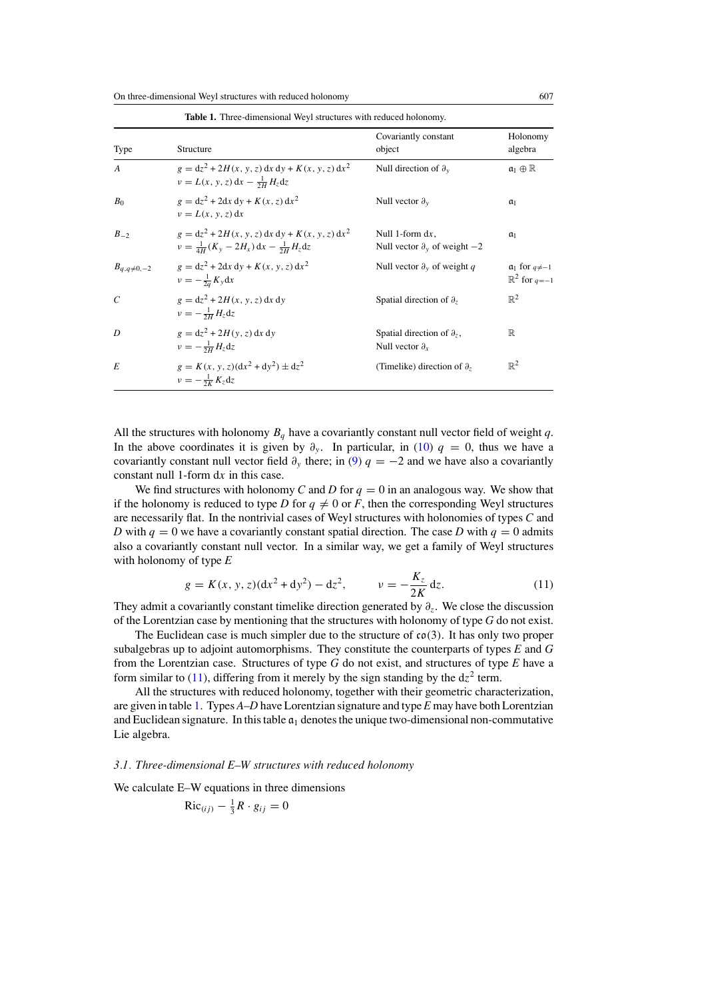<span id="page-4-0"></span>On three-dimensional Weyl structures with reduced holonomy 607

| Type               | Structure                                                                                                  | Covariantly constant<br>object                                  | Holonomy<br>algebra                                |
|--------------------|------------------------------------------------------------------------------------------------------------|-----------------------------------------------------------------|----------------------------------------------------|
| $\overline{A}$     | $g = dz^2 + 2H(x, y, z) dx dy + K(x, y, z) dx^2$<br>$v = L(x, y, z) dx - \frac{1}{2H} H_z dz$              | Null direction of $\partial_y$                                  | $a_1 \oplus \mathbb{R}$                            |
| B <sub>0</sub>     | $g = dz^2 + 2dx dy + K(x, z) dx^2$<br>$v = L(x, y, z) dx$                                                  | Null vector $\partial_{v}$                                      | $a_1$                                              |
| $B_{-2}$           | $g = dz^2 + 2H(x, y, z) dx dy + K(x, y, z) dx^2$<br>$v = \frac{1}{4H}(K_v - 2H_x) dx - \frac{1}{2H}H_z dz$ | Null 1-form $dx$ ,<br>Null vector $\partial_{v}$ of weight $-2$ | a <sub>1</sub>                                     |
| $B_{q,q\neq 0,-2}$ | $g = dz^2 + 2dx dy + K(x, y, z) dx^2$<br>$v=-\frac{1}{2a}K_y dx$                                           | Null vector $\partial_y$ of weight q                            | $a_1$ for $q \neq -1$<br>$\mathbb{R}^2$ for $q=-1$ |
| $\mathcal{C}$      | $g = dz^2 + 2H(x, y, z) dx dv$<br>$v = -\frac{1}{2H}H_z dz$                                                | Spatial direction of $\partial_z$                               | $\mathbb{R}^2$                                     |
| D                  | $g = dz^2 + 2H(v, z) dx dv$<br>$v=-\frac{1}{2H}H_zdz$                                                      | Spatial direction of $\partial_z$ ,<br>Null vector $\partial_x$ | $\mathbb R$                                        |
| E                  | $g = K(x, y, z)(dx^{2} + dy^{2}) \pm dz^{2}$<br>$v=-\frac{1}{2K}K_zdz$                                     | (Timelike) direction of $\partial_z$                            | $\mathbb{R}^2$                                     |

All the structures with holonomy  $B_q$  have a covariantly constant null vector field of weight q. In the above coordinates it is given by  $\partial_y$ . In particular, in [\(10\)](#page-3-0)  $q = 0$ , thus we have a covariantly constant null vector field  $\partial_y$  there; in [\(9\)](#page-3-0)  $q = -2$  and we have also a covariantly constant null 1-form d*x* in this case.

We find structures with holonomy *C* and *D* for  $q = 0$  in an analogous way. We show that if the holonomy is reduced to type *D* for  $q \neq 0$  or *F*, then the corresponding Weyl structures are necessarily flat. In the nontrivial cases of Weyl structures with holonomies of types *C* and *D* with  $q = 0$  we have a covariantly constant spatial direction. The case *D* with  $q = 0$  admits also a covariantly constant null vector. In a similar way, we get a family of Weyl structures with holonomy of type *E*

$$
g = K(x, y, z)(dx2 + dy2) - dz2, \qquad \nu = -\frac{K_z}{2K} dz.
$$
 (11)

They admit a covariantly constant timelike direction generated by *∂z*. We close the discussion of the Lorentzian case by mentioning that the structures with holonomy of type *G* do not exist.

The Euclidean case is much simpler due to the structure of co*(*3*)*. It has only two proper subalgebras up to adjoint automorphisms. They constitute the counterparts of types *E* and *G* from the Lorentzian case. Structures of type *G* do not exist, and structures of type *E* have a form similar to  $(11)$ , differing from it merely by the sign standing by the  $dz^2$  term.

All the structures with reduced holonomy, together with their geometric characterization, are given in table 1. Types *A*–*D* have Lorentzian signature and type *E* may have both Lorentzian and Euclidean signature. In this table  $a_1$  denotes the unique two-dimensional non-commutative Lie algebra.

#### *3.1. Three-dimensional E–W structures with reduced holonomy*

We calculate E–W equations in three dimensions

$$
\text{Ric}_{(ij)} - \frac{1}{3}R \cdot g_{ij} = 0
$$